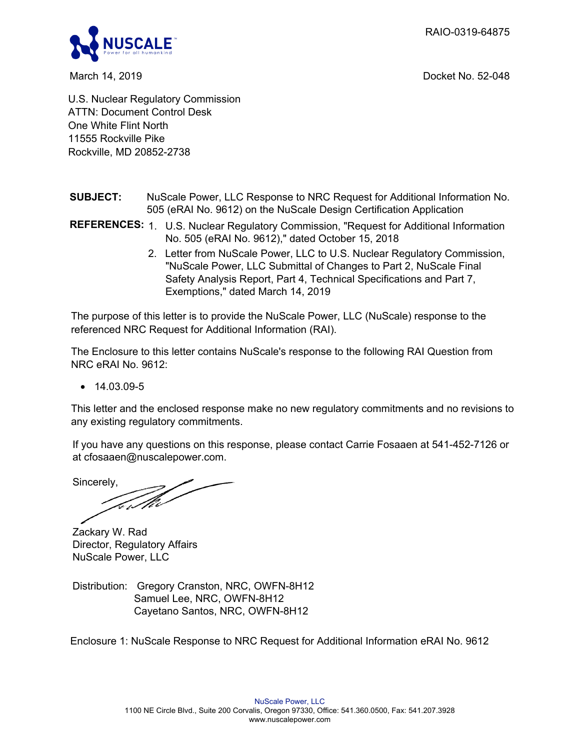RAIO-0319-64875



March 14, 2019 Docket No. 52-048

U.S. Nuclear Regulatory Commission ATTN: Document Control Desk One White Flint North 11555 Rockville Pike Rockville, MD 20852-2738

**SUBJECT:** NuScale Power, LLC Response to NRC Request for Additional Information No. 505 (eRAI No. 9612) on the NuScale Design Certification Application

- **REFERENCES:** 1. U.S. Nuclear Regulatory Commission, "Request for Additional Information No. 505 (eRAI No. 9612)," dated October 15, 2018
	- 2. Letter from NuScale Power, LLC to U.S. Nuclear Regulatory Commission, "NuScale Power, LLC Submittal of Changes to Part 2, NuScale Final Safety Analysis Report, Part 4, Technical Specifications and Part 7, Exemptions," dated March 14, 2019

The purpose of this letter is to provide the NuScale Power, LLC (NuScale) response to the referenced NRC Request for Additional Information (RAI).

The Enclosure to this letter contains NuScale's response to the following RAI Question from NRC eRAI No. 9612:

• 14.03.09-5

This letter and the enclosed response make no new regulatory commitments and no revisions to any existing regulatory commitments.

If you have any questions on this response, please contact Carrie Fosaaen at 541-452-7126 or at cfosaaen@nuscalepower.com.

Sincerely,

Zackary W. Rad Director, Regulatory Affairs NuScale Power, LLC

Distribution: Gregory Cranston, NRC, OWFN-8H12 Samuel Lee, NRC, OWFN-8H12 Cayetano Santos, NRC, OWFN-8H12

Enclosure 1: NuScale Response to NRC Request for Additional Information eRAI No. 9612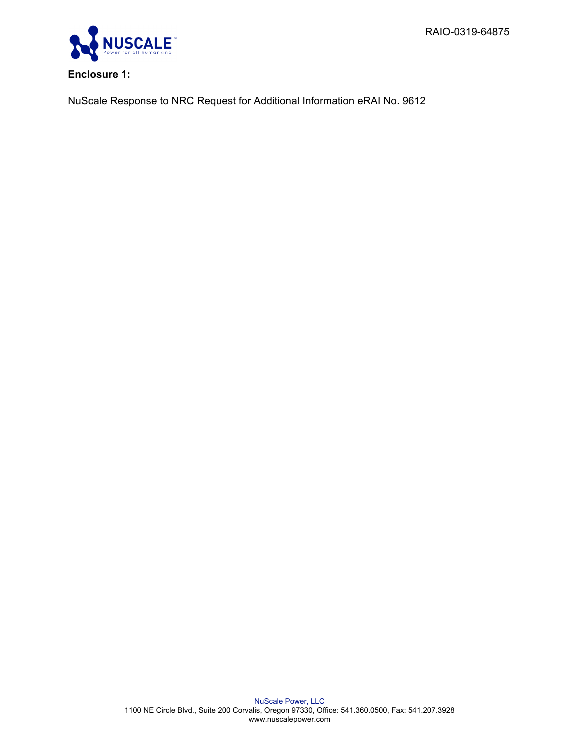RAIO-0319-64875



## **Enclosure 1:**

NuScale Response to NRC Request for Additional Information eRAI No. 9612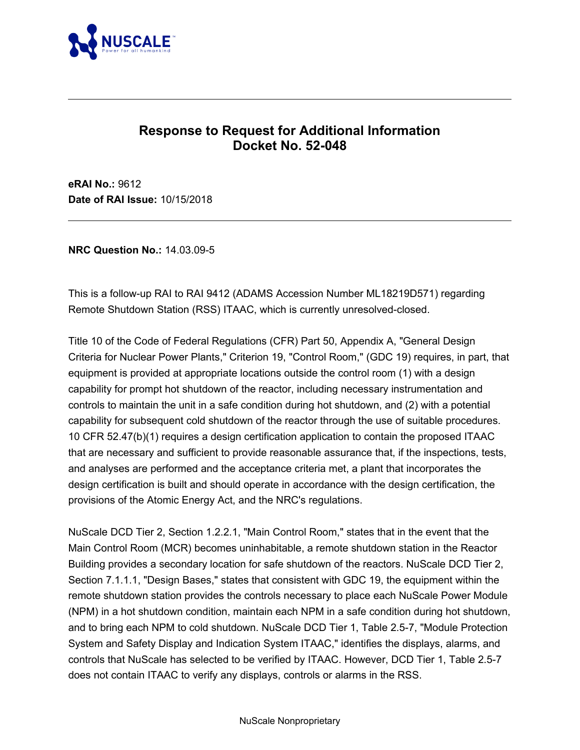

# **Response to Request for Additional Information Docket No. 52-048**

**eRAI No.:** 9612 **Date of RAI Issue:** 10/15/2018

**NRC Question No.:** 14.03.09-5

This is a follow-up RAI to RAI 9412 (ADAMS Accession Number ML18219D571) regarding Remote Shutdown Station (RSS) ITAAC, which is currently unresolved-closed.

Title 10 of the Code of Federal Regulations (CFR) Part 50, Appendix A, "General Design Criteria for Nuclear Power Plants," Criterion 19, "Control Room," (GDC 19) requires, in part, that equipment is provided at appropriate locations outside the control room (1) with a design capability for prompt hot shutdown of the reactor, including necessary instrumentation and controls to maintain the unit in a safe condition during hot shutdown, and (2) with a potential capability for subsequent cold shutdown of the reactor through the use of suitable procedures. 10 CFR 52.47(b)(1) requires a design certification application to contain the proposed ITAAC that are necessary and sufficient to provide reasonable assurance that, if the inspections, tests, and analyses are performed and the acceptance criteria met, a plant that incorporates the design certification is built and should operate in accordance with the design certification, the provisions of the Atomic Energy Act, and the NRC's regulations.

NuScale DCD Tier 2, Section 1.2.2.1, "Main Control Room," states that in the event that the Main Control Room (MCR) becomes uninhabitable, a remote shutdown station in the Reactor Building provides a secondary location for safe shutdown of the reactors. NuScale DCD Tier 2, Section 7.1.1.1, "Design Bases," states that consistent with GDC 19, the equipment within the remote shutdown station provides the controls necessary to place each NuScale Power Module (NPM) in a hot shutdown condition, maintain each NPM in a safe condition during hot shutdown, and to bring each NPM to cold shutdown. NuScale DCD Tier 1, Table 2.5-7, "Module Protection System and Safety Display and Indication System ITAAC," identifies the displays, alarms, and controls that NuScale has selected to be verified by ITAAC. However, DCD Tier 1, Table 2.5-7 does not contain ITAAC to verify any displays, controls or alarms in the RSS.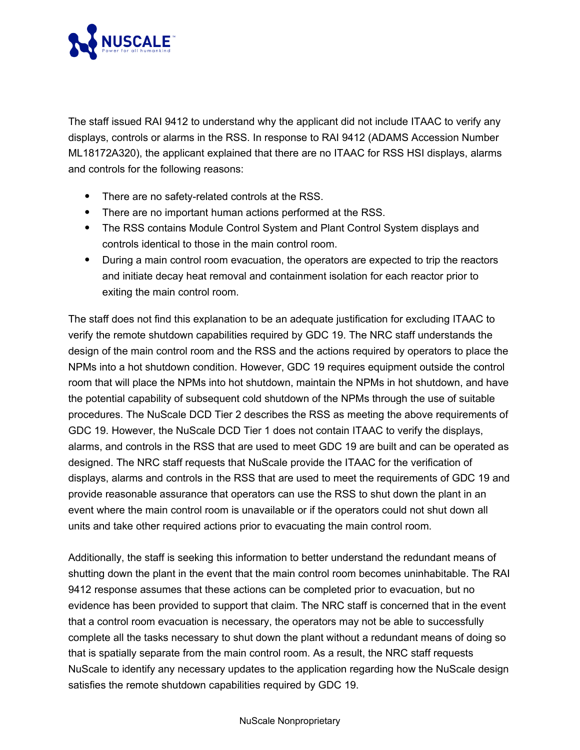

The staff issued RAI 9412 to understand why the applicant did not include ITAAC to verify any displays, controls or alarms in the RSS. In response to RAI 9412 (ADAMS Accession Number ML18172A320), the applicant explained that there are no ITAAC for RSS HSI displays, alarms and controls for the following reasons:

- There are no safety-related controls at the RSS.
- There are no important human actions performed at the RSS.
- The RSS contains Module Control System and Plant Control System displays and controls identical to those in the main control room.
- During a main control room evacuation, the operators are expected to trip the reactors and initiate decay heat removal and containment isolation for each reactor prior to exiting the main control room.

The staff does not find this explanation to be an adequate justification for excluding ITAAC to verify the remote shutdown capabilities required by GDC 19. The NRC staff understands the design of the main control room and the RSS and the actions required by operators to place the NPMs into a hot shutdown condition. However, GDC 19 requires equipment outside the control room that will place the NPMs into hot shutdown, maintain the NPMs in hot shutdown, and have the potential capability of subsequent cold shutdown of the NPMs through the use of suitable procedures. The NuScale DCD Tier 2 describes the RSS as meeting the above requirements of GDC 19. However, the NuScale DCD Tier 1 does not contain ITAAC to verify the displays, alarms, and controls in the RSS that are used to meet GDC 19 are built and can be operated as designed. The NRC staff requests that NuScale provide the ITAAC for the verification of displays, alarms and controls in the RSS that are used to meet the requirements of GDC 19 and provide reasonable assurance that operators can use the RSS to shut down the plant in an event where the main control room is unavailable or if the operators could not shut down all units and take other required actions prior to evacuating the main control room.

Additionally, the staff is seeking this information to better understand the redundant means of shutting down the plant in the event that the main control room becomes uninhabitable. The RAI 9412 response assumes that these actions can be completed prior to evacuation, but no evidence has been provided to support that claim. The NRC staff is concerned that in the event that a control room evacuation is necessary, the operators may not be able to successfully complete all the tasks necessary to shut down the plant without a redundant means of doing so that is spatially separate from the main control room. As a result, the NRC staff requests NuScale to identify any necessary updates to the application regarding how the NuScale design satisfies the remote shutdown capabilities required by GDC 19.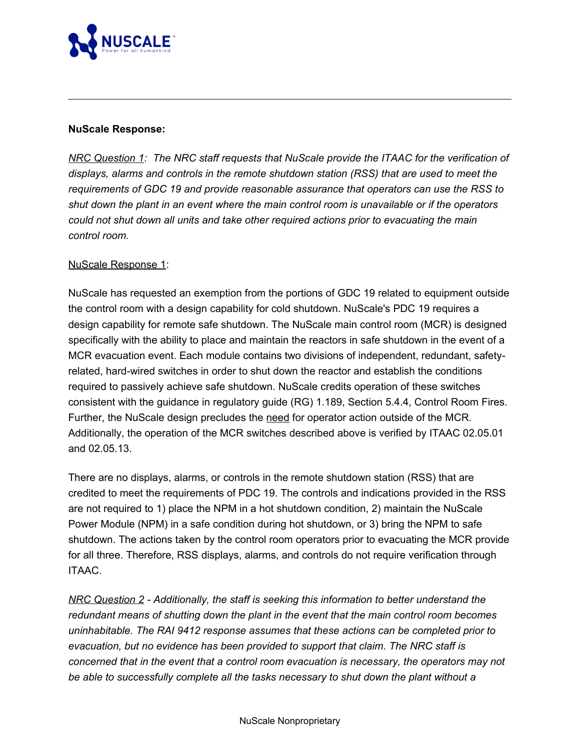

### **NuScale Response:**

*NRC Question 1: The NRC staff requests that NuScale provide the ITAAC for the verification of displays, alarms and controls in the remote shutdown station (RSS) that are used to meet the requirements of GDC 19 and provide reasonable assurance that operators can use the RSS to shut down the plant in an event where the main control room is unavailable or if the operators could not shut down all units and take other required actions prior to evacuating the main control room.*

## NuScale Response 1:

NuScale has requested an exemption from the portions of GDC 19 related to equipment outside the control room with a design capability for cold shutdown. NuScale's PDC 19 requires a design capability for remote safe shutdown. The NuScale main control room (MCR) is designed specifically with the ability to place and maintain the reactors in safe shutdown in the event of a MCR evacuation event. Each module contains two divisions of independent, redundant, safetyrelated, hard-wired switches in order to shut down the reactor and establish the conditions required to passively achieve safe shutdown. NuScale credits operation of these switches consistent with the guidance in regulatory guide (RG) 1.189, Section 5.4.4, Control Room Fires. Further, the NuScale design precludes the need for operator action outside of the MCR. Additionally, the operation of the MCR switches described above is verified by ITAAC 02.05.01 and 02.05.13.

There are no displays, alarms, or controls in the remote shutdown station (RSS) that are credited to meet the requirements of PDC 19. The controls and indications provided in the RSS are not required to 1) place the NPM in a hot shutdown condition, 2) maintain the NuScale Power Module (NPM) in a safe condition during hot shutdown, or 3) bring the NPM to safe shutdown. The actions taken by the control room operators prior to evacuating the MCR provide for all three. Therefore, RSS displays, alarms, and controls do not require verification through ITAAC.

*NRC Question 2 - Additionally, the staff is seeking this information to better understand the redundant means of shutting down the plant in the event that the main control room becomes uninhabitable. The RAI 9412 response assumes that these actions can be completed prior to evacuation, but no evidence has been provided to support that claim. The NRC staff is concerned that in the event that a control room evacuation is necessary, the operators may not be able to successfully complete all the tasks necessary to shut down the plant without a*